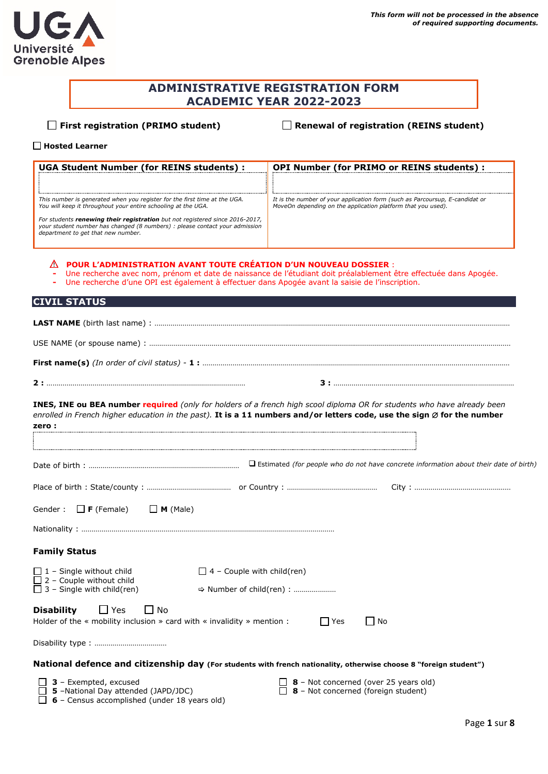# **ADMINISTRATIVE REGISTRATION FORM ACADEMIC YEAR 2022-2023**

**First registration (PRIMO student) Renewal of registration (REINS student)**

#### **Hosted Learner**

| <b>UGA Student Number (for REINS students):</b>                                                                                                                                                                                                                                                                                                 | <b>OPI Number (for PRIMO or REINS students) :</b>                                                                                                                                                                                                              |
|-------------------------------------------------------------------------------------------------------------------------------------------------------------------------------------------------------------------------------------------------------------------------------------------------------------------------------------------------|----------------------------------------------------------------------------------------------------------------------------------------------------------------------------------------------------------------------------------------------------------------|
| This number is generated when you register for the first time at the UGA.<br>You will keep it throughout your entire schooling at the UGA.<br>For students renewing their registration but not registered since 2016-2017,<br>your student number has changed (8 numbers) : please contact your admission<br>department to get that new number. | It is the number of your application form (such as Parcoursup, E-candidat or<br>MoveOn depending on the application platform that you used).                                                                                                                   |
| POUR L'ADMINISTRATION AVANT TOUTE CRÉATION D'UN NOUVEAU DOSSIER :                                                                                                                                                                                                                                                                               | Une recherche avec nom, prénom et date de naissance de l'étudiant doit préalablement être effectuée dans Apogée.<br>Une recherche d'une OPI est également à effectuer dans Apogée avant la saisie de l'inscription.                                            |
| <b>CIVIL STATUS</b>                                                                                                                                                                                                                                                                                                                             |                                                                                                                                                                                                                                                                |
|                                                                                                                                                                                                                                                                                                                                                 |                                                                                                                                                                                                                                                                |
|                                                                                                                                                                                                                                                                                                                                                 |                                                                                                                                                                                                                                                                |
|                                                                                                                                                                                                                                                                                                                                                 |                                                                                                                                                                                                                                                                |
|                                                                                                                                                                                                                                                                                                                                                 |                                                                                                                                                                                                                                                                |
| zero:                                                                                                                                                                                                                                                                                                                                           | INES, INE ou BEA number required (only for holders of a french high scool diploma OR for students who have already been<br>enrolled in French higher education in the past). It is a 11 numbers and/or letters code, use the sign $\varnothing$ for the number |
|                                                                                                                                                                                                                                                                                                                                                 | $\Box$ Estimated (for people who do not have concrete information about their date of birth)                                                                                                                                                                   |
|                                                                                                                                                                                                                                                                                                                                                 |                                                                                                                                                                                                                                                                |
| $\Box$ <b>F</b> (Female)<br>$\Box$ M (Male)<br>Gender:                                                                                                                                                                                                                                                                                          |                                                                                                                                                                                                                                                                |
|                                                                                                                                                                                                                                                                                                                                                 |                                                                                                                                                                                                                                                                |
| <b>Family Status</b>                                                                                                                                                                                                                                                                                                                            |                                                                                                                                                                                                                                                                |
| $\Box$ 1 - Single without child                                                                                                                                                                                                                                                                                                                 | $\Box$ 4 - Couple with child(ren)                                                                                                                                                                                                                              |
| $\Box$ 2 - Couple without child<br>$\Box$ 3 – Single with child(ren)                                                                                                                                                                                                                                                                            |                                                                                                                                                                                                                                                                |
| $\Box$ Yes<br>$\Box$ No<br><b>Disability</b><br>Holder of the $\ast$ mobility inclusion $\ast$ card with $\ast$ invalidity $\ast$ mention :                                                                                                                                                                                                     | $\Box$ Yes<br>$\Box$ No                                                                                                                                                                                                                                        |
|                                                                                                                                                                                                                                                                                                                                                 |                                                                                                                                                                                                                                                                |
|                                                                                                                                                                                                                                                                                                                                                 | National defence and citizenship day (For students with french nationality, otherwise choose 8 "foreign student")                                                                                                                                              |
| 3 - Exempted, excused<br>5 -National Day attended (JAPD/JDC)<br>6 - Census accomplished (under 18 years old)                                                                                                                                                                                                                                    | 8 - Not concerned (over 25 years old)<br>8 - Not concerned (foreign student)                                                                                                                                                                                   |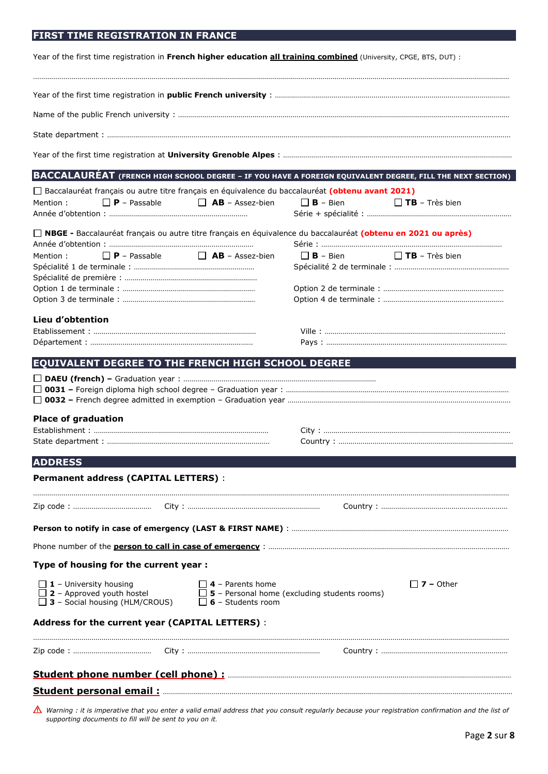# **FIRST TIME REGISTRATION IN FRANCE**

| Year of the first time registration in French higher education all training combined (University, CPGE, BTS, DUT) :                                                             |                                                     |  |  |  |  |  |
|---------------------------------------------------------------------------------------------------------------------------------------------------------------------------------|-----------------------------------------------------|--|--|--|--|--|
|                                                                                                                                                                                 |                                                     |  |  |  |  |  |
|                                                                                                                                                                                 |                                                     |  |  |  |  |  |
|                                                                                                                                                                                 |                                                     |  |  |  |  |  |
|                                                                                                                                                                                 |                                                     |  |  |  |  |  |
|                                                                                                                                                                                 |                                                     |  |  |  |  |  |
| BACCALAURÉAT (FRENCH HIGH SCHOOL DEGREE - IF YOU HAVE A FOREIGN EQUIVALENT DEGREE, FILL THE NEXT SECTION)                                                                       |                                                     |  |  |  |  |  |
| □ Baccalauréat français ou autre titre français en équivalence du baccalauréat (obtenu avant 2021)<br>$\Box$ <b>AB</b> – Assez-bien<br>$\Box$ <b>P</b> – Passable<br>Mention:   | $\Box$ <b>B</b> – Bien<br><b>TB</b> – Très bien     |  |  |  |  |  |
| □ NBGE - Baccalauréat français ou autre titre français en équivalence du baccalauréat (obtenu en 2021 ou après)                                                                 |                                                     |  |  |  |  |  |
|                                                                                                                                                                                 |                                                     |  |  |  |  |  |
| $\Box$ <b>P</b> – Passable<br>$\Box$ <b>AB</b> – Assez-bien<br>Mention:                                                                                                         | $\Box$ <b>B</b> – Bien<br><b>TB</b> – Très bien     |  |  |  |  |  |
|                                                                                                                                                                                 |                                                     |  |  |  |  |  |
|                                                                                                                                                                                 |                                                     |  |  |  |  |  |
|                                                                                                                                                                                 |                                                     |  |  |  |  |  |
| Lieu d'obtention                                                                                                                                                                |                                                     |  |  |  |  |  |
|                                                                                                                                                                                 |                                                     |  |  |  |  |  |
| <b>EQUIVALENT DEGREE TO THE FRENCH HIGH SCHOOL DEGREE</b>                                                                                                                       |                                                     |  |  |  |  |  |
|                                                                                                                                                                                 |                                                     |  |  |  |  |  |
| <b>Place of graduation</b>                                                                                                                                                      |                                                     |  |  |  |  |  |
|                                                                                                                                                                                 |                                                     |  |  |  |  |  |
| <b>ADDRESS</b>                                                                                                                                                                  |                                                     |  |  |  |  |  |
| <b>Permanent address (CAPITAL LETTERS):</b>                                                                                                                                     |                                                     |  |  |  |  |  |
|                                                                                                                                                                                 |                                                     |  |  |  |  |  |
|                                                                                                                                                                                 |                                                     |  |  |  |  |  |
|                                                                                                                                                                                 |                                                     |  |  |  |  |  |
|                                                                                                                                                                                 |                                                     |  |  |  |  |  |
| Type of housing for the current year :                                                                                                                                          |                                                     |  |  |  |  |  |
|                                                                                                                                                                                 | $\Box$ 7 – Other                                    |  |  |  |  |  |
| $\Box$ 4 - Parents home<br>$\Box$ <b>1</b> – university housing<br>$\Box$ <b>2</b> – Approved youth hostel<br>$\Box$ 3 - Social housing (HLM/CROUS)<br>$\Box$ 6 - Students room | $\Box$ 5 - Personal home (excluding students rooms) |  |  |  |  |  |
| Address for the current year (CAPITAL LETTERS) :                                                                                                                                |                                                     |  |  |  |  |  |
|                                                                                                                                                                                 |                                                     |  |  |  |  |  |
|                                                                                                                                                                                 |                                                     |  |  |  |  |  |
|                                                                                                                                                                                 |                                                     |  |  |  |  |  |
|                                                                                                                                                                                 |                                                     |  |  |  |  |  |

Warning : it is imperative that you enter a valid email address that you consult regularly because your registration confirmation and the list of *supporting documents to fill will be sent to you on it.*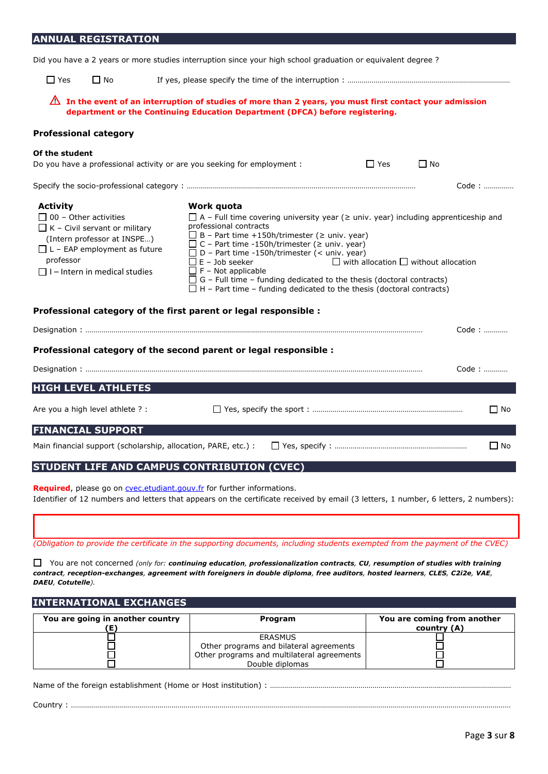# **ANNUAL REGISTRATION**

|  |  | Did you have a 2 years or more studies interruption since your high school graduation or equivalent degree? |
|--|--|-------------------------------------------------------------------------------------------------------------|
|  |  |                                                                                                             |
|  |  |                                                                                                             |

□ Yes □ No If yes, please specify the time of the interruption : …………………………………………………………………………………………

| $\triangle$ In the event of an interruption of studies of more than 2 years, you must first contact your admission |
|--------------------------------------------------------------------------------------------------------------------|
| department or the Continuing Education Department (DFCA) before registering.                                       |

#### **Professional category**

| Of the student<br>Do you have a professional activity or are you seeking for employment :                                                                                                                          |                                                                                            |                                                                                                                                                                                                                                                                                                                                                                                                                                                | $\Box$ Yes                                       | $\Box$ No |           |
|--------------------------------------------------------------------------------------------------------------------------------------------------------------------------------------------------------------------|--------------------------------------------------------------------------------------------|------------------------------------------------------------------------------------------------------------------------------------------------------------------------------------------------------------------------------------------------------------------------------------------------------------------------------------------------------------------------------------------------------------------------------------------------|--------------------------------------------------|-----------|-----------|
|                                                                                                                                                                                                                    |                                                                                            |                                                                                                                                                                                                                                                                                                                                                                                                                                                |                                                  |           | Code:     |
| <b>Activity</b><br>$\Box$ 00 - Other activities<br>$\Box$ K – Civil servant or military<br>(Intern professor at INSPE)<br>$\Box$ L – EAP employment as future<br>professor<br>$\Box$ I – Intern in medical studies | Work quota<br>professional contracts<br>$\Box$ E – Job seeker<br>$\Box$ F – Not applicable | $\Box$ A – Full time covering university year ( $\geq$ univ. year) including apprenticeship and<br>$\Box$ B – Part time +150h/trimester ( $\geq$ univ. year)<br>$\Box$ C – Part time -150h/trimester ( $\geq$ univ. year)<br>$\Box$ D – Part time -150h/trimester (< univ. year)<br>$\Box$ G – Full time – funding dedicated to the thesis (doctoral contracts)<br>$\Box$ H – Part time – funding dedicated to the thesis (doctoral contracts) | $\Box$ with allocation $\Box$ without allocation |           |           |
| Professional category of the first parent or legal responsible :                                                                                                                                                   |                                                                                            |                                                                                                                                                                                                                                                                                                                                                                                                                                                |                                                  |           |           |
|                                                                                                                                                                                                                    |                                                                                            |                                                                                                                                                                                                                                                                                                                                                                                                                                                |                                                  |           | Code:     |
| Professional category of the second parent or legal responsible :                                                                                                                                                  |                                                                                            |                                                                                                                                                                                                                                                                                                                                                                                                                                                |                                                  |           |           |
|                                                                                                                                                                                                                    |                                                                                            |                                                                                                                                                                                                                                                                                                                                                                                                                                                |                                                  |           | Code:     |
| <b>HIGH LEVEL ATHLETES</b>                                                                                                                                                                                         |                                                                                            |                                                                                                                                                                                                                                                                                                                                                                                                                                                |                                                  |           |           |
| Are you a high level athlete ? :                                                                                                                                                                                   |                                                                                            |                                                                                                                                                                                                                                                                                                                                                                                                                                                |                                                  |           | $\Box$ No |
| <b>FINANCIAL SUPPORT</b>                                                                                                                                                                                           |                                                                                            |                                                                                                                                                                                                                                                                                                                                                                                                                                                |                                                  |           |           |
| Main financial support (scholarship, allocation, PARE, etc.) :                                                                                                                                                     |                                                                                            |                                                                                                                                                                                                                                                                                                                                                                                                                                                |                                                  |           | $\Box$ No |

## **STUDENT LIFE AND CAMPUS CONTRIBUTION (CVEC)**

**Required**, please go on **[cvec.etudiant.gouv.fr](https://cvec.etudiant.gouv.fr/)** for further informations. Identifier of 12 numbers and letters that appears on the certificate received by email (3 letters, 1 number, 6 letters, 2 numbers):

*(Obligation to provide the certificate in the supporting documents, including students exempted from the payment of the CVEC)*

 You are not concerned *(only for: continuing education, professionalization contracts, CU, resumption of studies with training*  contract, reception-exchanges, agreement with foreigners in double diploma, free auditors, hosted learners, CLES, C2i2e, VAE, *DAEU, Cotutelle).* 

#### **INTERNATIONAL EXCHANGES**

| You are going in another country | Program                                                                                                             | You are coming from another<br>country (A) |
|----------------------------------|---------------------------------------------------------------------------------------------------------------------|--------------------------------------------|
|                                  | ERASMUS<br>Other programs and bilateral agreements<br>Other programs and multilateral agreements<br>Double diplomas |                                            |

Name of the foreign establishment (Home or Host institution) : …………………………………………………………………………………………………………

Country : …………………………………………………………………………………………………………………………………………………………………………………………………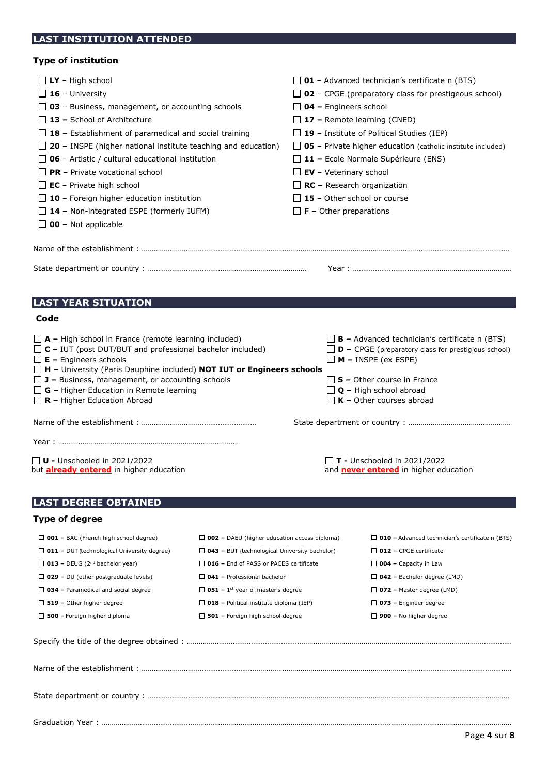# **LAST INSTITUTION ATTENDED**

## **Type of institution**

| ו פוני וויסטוני וס                                                                                                                                                                                                                                                                                                                                                                                                                                                                                                                                                     |                                                      |                                                                                                                                                                                                                                                                                                                                                                                                                                                                                                                        |
|------------------------------------------------------------------------------------------------------------------------------------------------------------------------------------------------------------------------------------------------------------------------------------------------------------------------------------------------------------------------------------------------------------------------------------------------------------------------------------------------------------------------------------------------------------------------|------------------------------------------------------|------------------------------------------------------------------------------------------------------------------------------------------------------------------------------------------------------------------------------------------------------------------------------------------------------------------------------------------------------------------------------------------------------------------------------------------------------------------------------------------------------------------------|
| $\Box$ LY - High school<br>$\Box$ 16 - University<br>$\Box$ 03 – Business, management, or accounting schools<br>$\Box$ 13 - School of Architecture<br>$\Box$ 18 – Establishment of paramedical and social training<br>$\Box$ 20 – INSPE (higher national institute teaching and education)<br>$\Box$ 06 - Artistic / cultural educational institution<br>$\Box$ PR – Private vocational school<br>$\Box$ EC - Private high school<br>$\Box$ 10 - Foreign higher education institution<br>$\Box$ 14 – Non-integrated ESPE (formerly IUFM)<br>$\Box$ 00 – Not applicable |                                                      | $\Box$ 01 - Advanced technician's certificate n (BTS)<br>$\Box$ 02 - CPGE (preparatory class for prestigeous school)<br>$\Box$ 04 – Engineers school<br>$\Box$ 17 – Remote learning (CNED)<br>$\Box$ 19 - Institute of Political Studies (IEP)<br>$\Box$ 05 - Private higher education (catholic institute included)<br>$\Box$ 11 – Ecole Normale Supérieure (ENS)<br>$\Box$ EV - Veterinary school<br>$\Box$ RC – Research organization<br>$\Box$ 15 - Other school or course<br>$\Box$ <b>F</b> – Other preparations |
|                                                                                                                                                                                                                                                                                                                                                                                                                                                                                                                                                                        |                                                      |                                                                                                                                                                                                                                                                                                                                                                                                                                                                                                                        |
|                                                                                                                                                                                                                                                                                                                                                                                                                                                                                                                                                                        |                                                      |                                                                                                                                                                                                                                                                                                                                                                                                                                                                                                                        |
|                                                                                                                                                                                                                                                                                                                                                                                                                                                                                                                                                                        |                                                      |                                                                                                                                                                                                                                                                                                                                                                                                                                                                                                                        |
| <b>LAST YEAR SITUATION</b>                                                                                                                                                                                                                                                                                                                                                                                                                                                                                                                                             |                                                      |                                                                                                                                                                                                                                                                                                                                                                                                                                                                                                                        |
| Code                                                                                                                                                                                                                                                                                                                                                                                                                                                                                                                                                                   |                                                      |                                                                                                                                                                                                                                                                                                                                                                                                                                                                                                                        |
| $\Box$ <b>A</b> – High school in France (remote learning included)<br>$\Box$ C – IUT (post DUT/BUT and professional bachelor included)<br>$\Box$ <b>E</b> – Engineers schools<br>$\Box$ H - University (Paris Dauphine included) NOT IUT or Engineers schools<br>$\Box$ J – Business, management, or accounting schools<br>$\Box$ G – Higher Education in Remote learning<br>$\Box$ R – Higher Education Abroad                                                                                                                                                        |                                                      | $\Box$ <b>B</b> – Advanced technician's certificate n (BTS)<br>$\Box$ <b>D</b> – CPGE (preparatory class for prestigious school)<br>$\Box$ <b>M</b> – INSPE (ex ESPE)<br>$\Box$ S – Other course in France<br>$\Box$ Q – High school abroad<br>$\Box$ K – Other courses abroad                                                                                                                                                                                                                                         |
|                                                                                                                                                                                                                                                                                                                                                                                                                                                                                                                                                                        |                                                      |                                                                                                                                                                                                                                                                                                                                                                                                                                                                                                                        |
|                                                                                                                                                                                                                                                                                                                                                                                                                                                                                                                                                                        |                                                      |                                                                                                                                                                                                                                                                                                                                                                                                                                                                                                                        |
|                                                                                                                                                                                                                                                                                                                                                                                                                                                                                                                                                                        |                                                      |                                                                                                                                                                                                                                                                                                                                                                                                                                                                                                                        |
| $\Box$ <b>U</b> - Unschooled in 2021/2022<br>but <b>already entered</b> in higher education                                                                                                                                                                                                                                                                                                                                                                                                                                                                            |                                                      | $\Box$ T - Unschooled in 2021/2022<br>and <b>never entered</b> in higher education                                                                                                                                                                                                                                                                                                                                                                                                                                     |
| <b>LAST DEGREE OBTAINED</b>                                                                                                                                                                                                                                                                                                                                                                                                                                                                                                                                            |                                                      |                                                                                                                                                                                                                                                                                                                                                                                                                                                                                                                        |
| <b>Type of degree</b>                                                                                                                                                                                                                                                                                                                                                                                                                                                                                                                                                  |                                                      |                                                                                                                                                                                                                                                                                                                                                                                                                                                                                                                        |
|                                                                                                                                                                                                                                                                                                                                                                                                                                                                                                                                                                        |                                                      |                                                                                                                                                                                                                                                                                                                                                                                                                                                                                                                        |
| $\Box$ 001 – BAC (French high school degree)                                                                                                                                                                                                                                                                                                                                                                                                                                                                                                                           | $\Box$ 002 – DAEU (higher education access diploma)  | $\Box$ 010 – Advanced technician's certificate n (BTS)                                                                                                                                                                                                                                                                                                                                                                                                                                                                 |
| $\Box$ 011 – DUT (technological University degree)                                                                                                                                                                                                                                                                                                                                                                                                                                                                                                                     | $\Box$ 043 - BUT (technological University bachelor) | $\Box$ 012 - CPGE certificate                                                                                                                                                                                                                                                                                                                                                                                                                                                                                          |
| $\Box$ 013 - DEUG (2 <sup>nd</sup> bachelor year)                                                                                                                                                                                                                                                                                                                                                                                                                                                                                                                      | $\Box$ 016 – End of PASS or PACES certificate        | $\Box$ 004 - Capacity in Law                                                                                                                                                                                                                                                                                                                                                                                                                                                                                           |
| $\Box$ 029 – DU (other postgraduate levels)                                                                                                                                                                                                                                                                                                                                                                                                                                                                                                                            | $\Box$ 041 - Professional bachelor                   | $\Box$ 042 – Bachelor degree (LMD)                                                                                                                                                                                                                                                                                                                                                                                                                                                                                     |
| $\Box$ 034 – Paramedical and social degree                                                                                                                                                                                                                                                                                                                                                                                                                                                                                                                             | $\Box$ 051 – 1 <sup>st</sup> year of master's degree | $\Box$ 072 – Master degree (LMD)                                                                                                                                                                                                                                                                                                                                                                                                                                                                                       |
| $\Box$ 519 – Other higher degree                                                                                                                                                                                                                                                                                                                                                                                                                                                                                                                                       |                                                      |                                                                                                                                                                                                                                                                                                                                                                                                                                                                                                                        |
|                                                                                                                                                                                                                                                                                                                                                                                                                                                                                                                                                                        | $\Box$ 018 - Political institute diploma (IEP)       | $\Box$ 073 – Engineer degree                                                                                                                                                                                                                                                                                                                                                                                                                                                                                           |

State department or country : ………………………………………………………………………………………………………………………………………………………………

Specify the title of the degree obtained : ………………………………………………………………………………………………………………………………………………

Name of the establishment : ………………………………………………………………………………………………………………………………………………………………….

Graduation Year : ……………………………………………………………………………………………………………………………………………………………………………………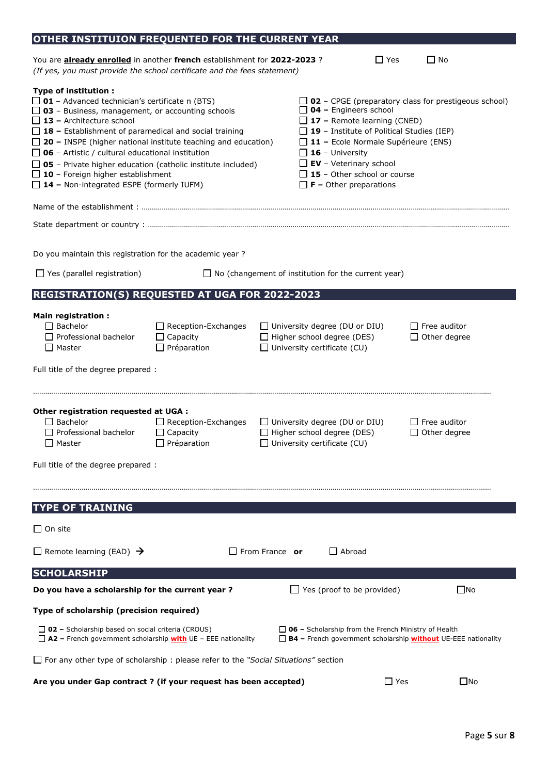| OTHER INSTITUION FREQUENTED FOR THE CURRENT YEAR                                                                                                                                                                                                                                                                                                                                                                                                                                                                                                           |                                                                     |                                                                                                                 |                                                                                                                                                                                                                                                                                     |                                                                                    |
|------------------------------------------------------------------------------------------------------------------------------------------------------------------------------------------------------------------------------------------------------------------------------------------------------------------------------------------------------------------------------------------------------------------------------------------------------------------------------------------------------------------------------------------------------------|---------------------------------------------------------------------|-----------------------------------------------------------------------------------------------------------------|-------------------------------------------------------------------------------------------------------------------------------------------------------------------------------------------------------------------------------------------------------------------------------------|------------------------------------------------------------------------------------|
| You are <b>already enrolled</b> in another french establishment for 2022-2023?<br>(If yes, you must provide the school certificate and the fees statement)                                                                                                                                                                                                                                                                                                                                                                                                 |                                                                     |                                                                                                                 | $\Box$ Yes                                                                                                                                                                                                                                                                          | $\Box$ No                                                                          |
| <b>Type of institution:</b><br>$\Box$ 01 - Advanced technician's certificate n (BTS)<br>$\Box$ 03 - Business, management, or accounting schools<br>$\Box$ 13 - Architecture school<br>$\Box$ 18 – Establishment of paramedical and social training<br>$\Box$ 20 – INSPE (higher national institute teaching and education)<br>$\Box$ 06 - Artistic / cultural educational institution<br>$\Box$ 05 - Private higher education (catholic institute included)<br>$\Box$ 10 - Foreign higher establishment<br>$\Box$ 14 - Non-integrated ESPE (formerly IUFM) |                                                                     | $\Box$ 16 - University                                                                                          | $\Box$ 04 – Engineers school<br>$\Box$ 17 – Remote learning (CNED)<br>$\Box$ 19 - Institute of Political Studies (IEP)<br>$\Box$ 11 – Ecole Normale Supérieure (ENS)<br>$\Box$ EV - Veterinary school<br>$\Box$ 15 - Other school or course<br>$\Box$ <b>F</b> – Other preparations | $\Box$ 02 - CPGE (preparatory class for prestigeous school)                        |
|                                                                                                                                                                                                                                                                                                                                                                                                                                                                                                                                                            |                                                                     |                                                                                                                 |                                                                                                                                                                                                                                                                                     |                                                                                    |
|                                                                                                                                                                                                                                                                                                                                                                                                                                                                                                                                                            |                                                                     |                                                                                                                 |                                                                                                                                                                                                                                                                                     |                                                                                    |
| Do you maintain this registration for the academic year?                                                                                                                                                                                                                                                                                                                                                                                                                                                                                                   |                                                                     |                                                                                                                 |                                                                                                                                                                                                                                                                                     |                                                                                    |
| $\Box$ Yes (parallel registration)                                                                                                                                                                                                                                                                                                                                                                                                                                                                                                                         |                                                                     | $\Box$ No (changement of institution for the current year)                                                      |                                                                                                                                                                                                                                                                                     |                                                                                    |
| <b>REGISTRATION(S) REQUESTED AT UGA FOR 2022-2023</b>                                                                                                                                                                                                                                                                                                                                                                                                                                                                                                      |                                                                     |                                                                                                                 |                                                                                                                                                                                                                                                                                     |                                                                                    |
| <b>Main registration:</b><br>$\Box$ Bachelor<br>$\Box$ Professional bachelor<br>$\Box$ Master<br>Full title of the degree prepared :                                                                                                                                                                                                                                                                                                                                                                                                                       | $\Box$ Reception-Exchanges<br>$\Box$ Capacity<br>$\Box$ Préparation | $\Box$ University degree (DU or DIU)<br>$\Box$ Higher school degree (DES)<br>$\Box$ University certificate (CU) |                                                                                                                                                                                                                                                                                     | $\Box$ Free auditor<br>$\Box$ Other degree                                         |
| Other registration requested at UGA :<br>$\Box$ Bachelor<br>$\Box$ Professional bachelor<br>$\Box$ Master                                                                                                                                                                                                                                                                                                                                                                                                                                                  | $\Box$ Reception-Exchanges<br>$\Box$ Capacity<br>Préparation        | $\Box$ University degree (DU or DIU)<br>$\Box$ Higher school degree (DES)<br>$\Box$ University certificate (CU) |                                                                                                                                                                                                                                                                                     | $\Box$ Free auditor<br>$\Box$ Other degree                                         |
| Full title of the degree prepared :                                                                                                                                                                                                                                                                                                                                                                                                                                                                                                                        |                                                                     |                                                                                                                 |                                                                                                                                                                                                                                                                                     |                                                                                    |
|                                                                                                                                                                                                                                                                                                                                                                                                                                                                                                                                                            |                                                                     |                                                                                                                 |                                                                                                                                                                                                                                                                                     |                                                                                    |
| <b>TYPE OF TRAINING</b>                                                                                                                                                                                                                                                                                                                                                                                                                                                                                                                                    |                                                                     |                                                                                                                 |                                                                                                                                                                                                                                                                                     |                                                                                    |
| $\Box$ On site                                                                                                                                                                                                                                                                                                                                                                                                                                                                                                                                             |                                                                     |                                                                                                                 |                                                                                                                                                                                                                                                                                     |                                                                                    |
| $\Box$ Remote learning (EAD) $\rightarrow$                                                                                                                                                                                                                                                                                                                                                                                                                                                                                                                 |                                                                     | $\Box$ From France or                                                                                           | $\Box$ Abroad                                                                                                                                                                                                                                                                       |                                                                                    |
| <b>SCHOLARSHIP</b>                                                                                                                                                                                                                                                                                                                                                                                                                                                                                                                                         |                                                                     |                                                                                                                 |                                                                                                                                                                                                                                                                                     |                                                                                    |
| Do you have a scholarship for the current year?                                                                                                                                                                                                                                                                                                                                                                                                                                                                                                            |                                                                     |                                                                                                                 | Yes (proof to be provided)                                                                                                                                                                                                                                                          | $\square$ No                                                                       |
| Type of scholarship (precision required)                                                                                                                                                                                                                                                                                                                                                                                                                                                                                                                   |                                                                     |                                                                                                                 |                                                                                                                                                                                                                                                                                     |                                                                                    |
| $\Box$ 02 – Scholarship based on social criteria (CROUS)<br>$\Box$ A2 – French government scholarship with UE – EEE nationality                                                                                                                                                                                                                                                                                                                                                                                                                            |                                                                     | $\Box$ 06 – Scholarship from the French Ministry of Health                                                      |                                                                                                                                                                                                                                                                                     | $\Box$ <b>B4</b> – French government scholarship <b>without</b> UE-EEE nationality |
| $\Box$ For any other type of scholarship : please refer to the "Social Situations" section                                                                                                                                                                                                                                                                                                                                                                                                                                                                 |                                                                     |                                                                                                                 |                                                                                                                                                                                                                                                                                     |                                                                                    |
| Are you under Gap contract ? (if your request has been accepted)                                                                                                                                                                                                                                                                                                                                                                                                                                                                                           |                                                                     |                                                                                                                 | $\Box$ Yes                                                                                                                                                                                                                                                                          | $\square$ No                                                                       |

Page **5** sur **8**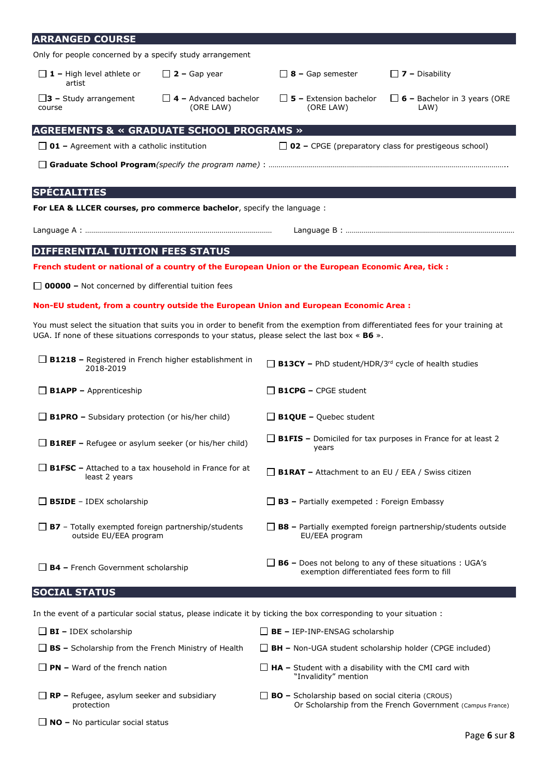| <b>ARRANGED COURSE</b>                                                              |                                           |                                                                                                                                                                                                                                           |                                                                     |
|-------------------------------------------------------------------------------------|-------------------------------------------|-------------------------------------------------------------------------------------------------------------------------------------------------------------------------------------------------------------------------------------------|---------------------------------------------------------------------|
| Only for people concerned by a specify study arrangement                            |                                           |                                                                                                                                                                                                                                           |                                                                     |
| $\Box$ 1 – High level athlete or<br>artist                                          | $\Box$ 2 – Gap year                       | $\Box$ 8 – Gap semester                                                                                                                                                                                                                   | $\Box$ 7 – Disability                                               |
| $\Box$ 3 - Study arrangement<br>course                                              | $\Box$ 4 – Advanced bachelor<br>(ORE LAW) | $\Box$ 5 – Extension bachelor<br>(ORE LAW)                                                                                                                                                                                                | $\Box$ 6 – Bachelor in 3 years (ORE<br>LAW)                         |
| <b>AGREEMENTS &amp; « GRADUATE SCHOOL PROGRAMS »</b>                                |                                           |                                                                                                                                                                                                                                           |                                                                     |
| $\Box$ 01 – Agreement with a catholic institution                                   |                                           | $\Box$ 02 – CPGE (preparatory class for prestigeous school)                                                                                                                                                                               |                                                                     |
|                                                                                     |                                           |                                                                                                                                                                                                                                           |                                                                     |
| <b>SPÉCIALITIES</b>                                                                 |                                           |                                                                                                                                                                                                                                           |                                                                     |
| For LEA & LLCER courses, pro commerce bachelor, specify the language :              |                                           |                                                                                                                                                                                                                                           |                                                                     |
|                                                                                     |                                           |                                                                                                                                                                                                                                           |                                                                     |
| DIFFERENTIAL TUITION FEES STATUS                                                    |                                           |                                                                                                                                                                                                                                           |                                                                     |
|                                                                                     |                                           | French student or national of a country of the European Union or the European Economic Area, tick :                                                                                                                                       |                                                                     |
| $\Box$ 00000 – Not concerned by differential tuition fees                           |                                           |                                                                                                                                                                                                                                           |                                                                     |
|                                                                                     |                                           | Non-EU student, from a country outside the European Union and European Economic Area :                                                                                                                                                    |                                                                     |
|                                                                                     |                                           | You must select the situation that suits you in order to benefit from the exemption from differentiated fees for your training at<br>UGA. If none of these situations corresponds to your status, please select the last box $\ast$ B6 ». |                                                                     |
| $\Box$ B1218 – Registered in French higher establishment in<br>2018-2019            |                                           | $\Box$ B13CY - PhD student/HDR/3rd cycle of health studies                                                                                                                                                                                |                                                                     |
| $\Box$ <b>B1APP</b> – Apprenticeship                                                |                                           | $\Box$ B1CPG – CPGE student                                                                                                                                                                                                               |                                                                     |
| $\Box$ B1PRO – Subsidary protection (or his/her child)                              |                                           | $\Box$ <b>B1QUE</b> – Quebec student                                                                                                                                                                                                      |                                                                     |
| <b>B1REF</b> - Refugee or asylum seeker (or his/her child)                          |                                           | $\Box$ B1FIS - Domiciled for tax purposes in France for at least 2<br>years                                                                                                                                                               |                                                                     |
| $\Box$ B1FSC – Attached to a tax household in France for at<br>least 2 years        |                                           | $\Box$ B1RAT - Attachment to an EU / EEA / Swiss citizen                                                                                                                                                                                  |                                                                     |
| $\Box$ <b>B5IDE</b> - IDEX scholarship                                              |                                           | $\Box$ B3 – Partially exempeted : Foreign Embassy                                                                                                                                                                                         |                                                                     |
| $\Box$ B7 - Totally exempted foreign partnership/students<br>outside EU/EEA program |                                           | EU/EEA program                                                                                                                                                                                                                            | $\Box$ B8 – Partially exempted foreign partnership/students outside |
| $\Box$ <b>B4</b> – French Government scholarship                                    |                                           | $\Box$ B6 – Does not belong to any of these situations : UGA's<br>exemption differentiated fees form to fill                                                                                                                              |                                                                     |
| <b>SOCIAL STATUS</b>                                                                |                                           |                                                                                                                                                                                                                                           |                                                                     |
|                                                                                     |                                           | In the event of a particular social status, please indicate it by ticking the box corresponding to your situation :                                                                                                                       |                                                                     |
| $\Box$ BI - IDEX scholarship                                                        |                                           | $\Box$ BE - IEP-INP-ENSAG scholarship                                                                                                                                                                                                     |                                                                     |
| $\Box$ BS - Scholarship from the French Ministry of Health                          |                                           | $\Box$ BH – Non-UGA student scholarship holder (CPGE included)                                                                                                                                                                            |                                                                     |
| $\Box$ PN – Ward of the french nation                                               |                                           | $\Box$ HA – Student with a disability with the CMI card with<br>"Invalidity" mention                                                                                                                                                      |                                                                     |
| $\Box$ RP – Refugee, asylum seeker and subsidiary<br>protection                     |                                           | $\Box$ <b>BO</b> – Scholarship based on social citeria (CROUS)                                                                                                                                                                            | Or Scholarship from the French Government (Campus France)           |
| $\Box$ NO – No particular social status                                             |                                           |                                                                                                                                                                                                                                           |                                                                     |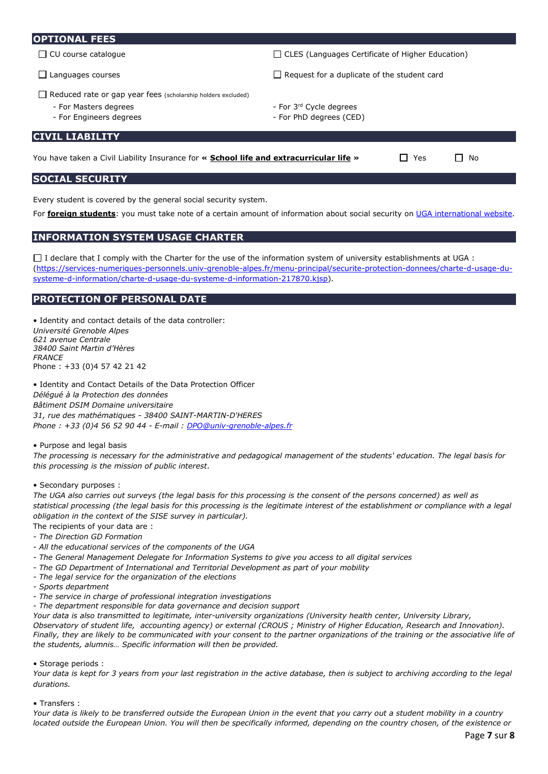#### **OPTIONAL FEES**

- 
- 
- Reduced rate or gap year fees (scholarship holders excluded)
	- For Masters degrees
	- For Engineers degrees
- $\square$  CU course catalogue  $\square$  CLES (Languages Certificate of Higher Education)

 $\Box$  Languages courses  $\Box$  Request for a duplicate of the student card

- For 3rd Cycle degrees
- For PhD degrees (CED)

## **CIVIL LIABILITY**

| You have taken a Civil Liability Insurance for « School life and extracurricular life » | $\Box$ Yes | $\Box$ No |  |
|-----------------------------------------------------------------------------------------|------------|-----------|--|
|-----------------------------------------------------------------------------------------|------------|-----------|--|

## **SOCIAL SECURITY**

Every student is covered by the general social security system.

For **foreign students**: you must take note of a certain amount of information about social security on [UGA international website.](https://international.univ-grenoble-alpes.fr/getting-organized/insurances/)

# **INFORMATION SYSTEM USAGE CHARTER**

 $\Box$  I declare that I comply with the Charter for the use of the information system of university establishments at UGA : [\(https://services-numeriques-personnels.univ-grenoble-alpes.fr/menu-principal/securite-protection-donnees/charte-d-usage-du](https://services-numeriques-personnels.univ-grenoble-alpes.fr/menu-principal/securite-protection-donnees/charte-d-usage-du-systeme-d-information/charte-d-usage-du-systeme-d-information-217870.kjsp)[systeme-d-information/charte-d-usage-du-systeme-d-information-217870.kjsp\)](https://services-numeriques-personnels.univ-grenoble-alpes.fr/menu-principal/securite-protection-donnees/charte-d-usage-du-systeme-d-information/charte-d-usage-du-systeme-d-information-217870.kjsp).

## **PROTECTION OF PERSONAL DATE**

• Identity and contact details of the data controller: *Université Grenoble Alpes 621 avenue Centrale 38400 Saint Martin d'Hères FRANCE* Phone : +33 (0)4 57 42 21 42

• Identity and Contact Details of the Data Protection Officer *Délégué à la Protection des données Bâtiment DSIM Domaine universitaire 31, rue des mathématiques - 38400 SAINT-MARTIN-D'HERES Phone : +33 (0)4 56 52 90 44 - E-mail : [DPO@univ-grenoble-alpes.fr](mailto:DPO@univ-grenoble-alpes.fr)*

• Purpose and legal basis

*The processing is necessary for the administrative and pedagogical management of the students' education. The legal basis for this processing is the mission of public interest*.

• Secondary purposes :

*The UGA also carries out surveys (the legal basis for this processing is the consent of the persons concerned) as well as statistical processing (the legal basis for this processing is the legitimate interest of the establishment or compliance with a legal obligation in the context of the SISE survey in particular).* 

The recipients of your data are : *- The Direction GD Formation*

- *All the educational services of the components of the UGA*
- *The General Management Delegate for Information Systems to give you access to all digital services*
- *The GD Department of International and Territorial Development as part of your mobility*
- *The legal service for the organization of the elections*
- *Sports department*
- *The service in charge of professional integration investigations*
- *The department responsible for data governance and decision support*

*Your data is also transmitted to legitimate, inter-university organizations (University health center, University Library, Observatory of student life, accounting agency) or external (CROUS ; Ministry of Higher Education, Research and Innovation). Finally, they are likely to be communicated with your consent to the partner organizations of the training or the associative life of the students, alumnis… Specific information will then be provided.* 

#### • Storage periods :

*Your data is kept for 3 years from your last registration in the active database, then is subject to archiving according to the legal durations.*

• Transfers :

*Your data is likely to be transferred outside the European Union in the event that you carry out a student mobility in a country located outside the European Union. You will then be specifically informed, depending on the country chosen, of the existence or*